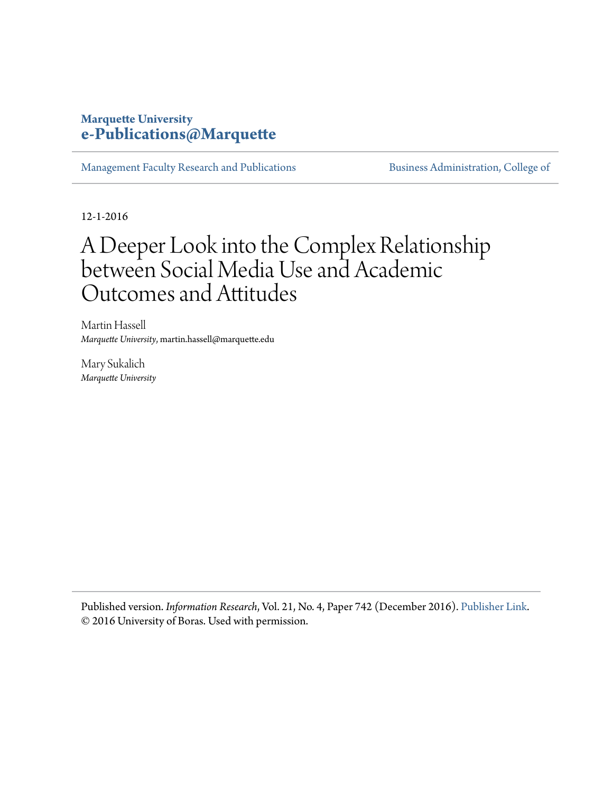### **Marquette University [e-Publications@Marquette](http://epublications.marquette.edu)**

[Management Faculty Research and Publications](http://epublications.marquette.edu/mgmt_fac) [Business Administration, College of](http://epublications.marquette.edu/business)

12-1-2016

# A Deeper Look into the Complex Relationship between Social Media Use and Academic Outcomes and Attitudes

Martin Hassell *Marquette University*, martin.hassell@marquette.edu

Mary Sukalich *Marquette University*

Published version. *Information Research*, Vol. 21, No. 4, Paper 742 (December 2016). [Publisher Link](http://www.informationr.net/ir/22-1/paper742.html). © 2016 University of Boras. Used with permission.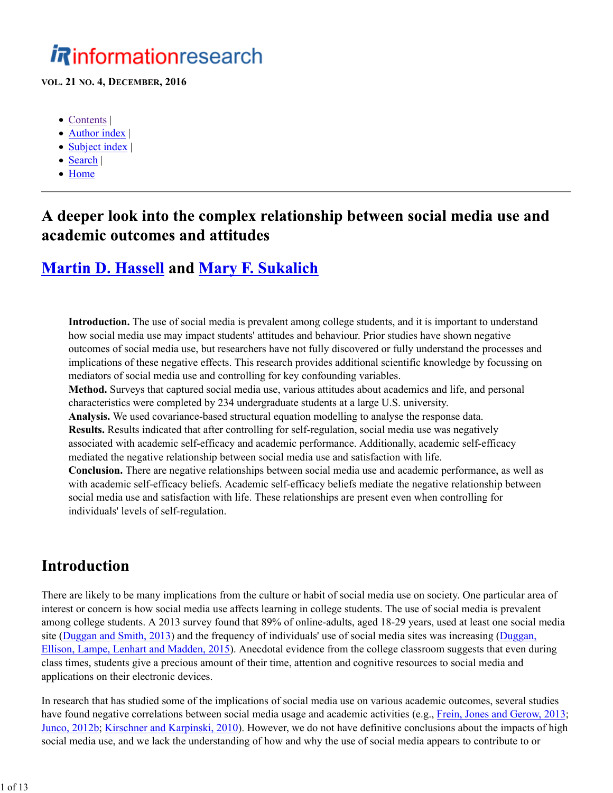# A deeper look into the complex relationship between social media use and academic outcomes and attitudes

# **Martin D. Hassell and Mary F. Sukalich**

**Introduction.** The use of social media is prevalent among college students, and it is important to understand how social media use may impact students' attitudes and behaviour. Prior studies have shown negative outcomes of social media use, but researchers have not fully discovered or fully understand the processes and implications of these negative effects. This research provides additional scientific knowledge by focussing on mediators of social media use and controlling for key confounding variables. **Method.** Surveys that captured social media use, various attitudes about academics and life, and personal characteristics were completed by 234 undergraduate students at a large U.S. university. **Analysis.** We used covariance-based structural equation modelling to analyse the response data. **Results.** Results indicated that after controlling for self-regulation, social media use was negatively associated with academic self-efficacy and academic performance. Additionally, academic self-efficacy

mediated the negative relationship between social media use and satisfaction with life.

**Conclusion.** There are negative relationships between social media use and academic performance, as well as with academic self-efficacy beliefs. Academic self-efficacy beliefs mediate the negative relationship between social media use and satisfaction with life. These relationships are present even when controlling for individuals' levels of self-regulation.

# **Introduction**

There are likely to be many implications from the culture or habit of social media use on society. One particular area of interest or concern is how social media use affects learning in college students. The use of social media is prevalent among college students. A 2013 survey found that 89% of online-adults, aged 18-29 years, used at least one social media site (Duggan and Smith, 2013) and the frequency of individuals' use of social media sites was increasing (Duggan, Ellison, Lampe, Lenhart and Madden, 2015). Anecdotal evidence from the college classroom suggests that even during class times, students give a precious amount of their time, attention and cognitive resources to social media and applications on their electronic devices.

In research that has studied some of the implications of social media use on various academic outcomes, several studies have found negative correlations between social media usage and academic activities (e.g., Frein, Jones and Gerow, 2013; Junco, 2012b; Kirschner and Karpinski, 2010). However, we do not have definitive conclusions about the impacts of high social media use, and we lack the understanding of how and why the use of social media appears to contribute to or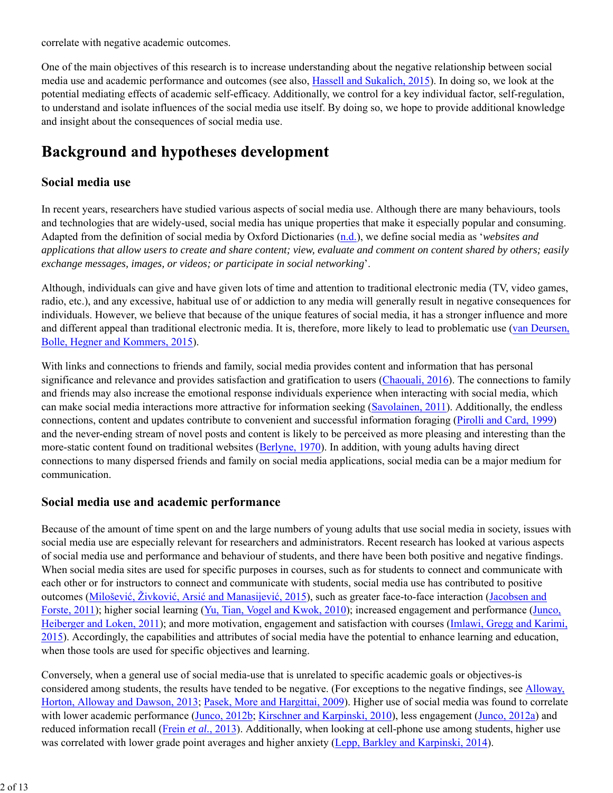correlate with negative academic outcomes.

One of the main objectives of this research is to increase understanding about the negative relationship between social media use and academic performance and outcomes (see also, Hassell and Sukalich, 2015). In doing so, we look at the potential mediating effects of academic self-efficacy. Additionally, we control for a key individual factor, self-regulation, to understand and isolate influences of the social media use itself. By doing so, we hope to provide additional knowledge and insight about the consequences of social media use.

# **Background and hypotheses development**

### **Social media use**

In recent years, researchers have studied various aspects of social media use. Although there are many behaviours, tools and technologies that are widely-used, social media has unique properties that make it especially popular and consuming. Adapted from the definition of social media by Oxford Dictionaries (n.d.), we define social media as '*websites and applications that allow users to create and share content; view, evaluate and comment on content shared by others; easily exchange messages, images, or videos; or participate in social networking*'.

Although, individuals can give and have given lots of time and attention to traditional electronic media (TV, video games, radio, etc.), and any excessive, habitual use of or addiction to any media will generally result in negative consequences for individuals. However, we believe that because of the unique features of social media, it has a stronger influence and more and different appeal than traditional electronic media. It is, therefore, more likely to lead to problematic use (van Deursen, Bolle, Hegner and Kommers, 2015).

With links and connections to friends and family, social media provides content and information that has personal significance and relevance and provides satisfaction and gratification to users (Chaouali, 2016). The connections to family and friends may also increase the emotional response individuals experience when interacting with social media, which can make social media interactions more attractive for information seeking (Savolainen, 2011). Additionally, the endless connections, content and updates contribute to convenient and successful information foraging (Pirolli and Card, 1999) and the never-ending stream of novel posts and content is likely to be perceived as more pleasing and interesting than the more-static content found on traditional websites (Berlyne, 1970). In addition, with young adults having direct connections to many dispersed friends and family on social media applications, social media can be a major medium for communication.

#### **Social media use and academic performance**

Because of the amount of time spent on and the large numbers of young adults that use social media in society, issues with social media use are especially relevant for researchers and administrators. Recent research has looked at various aspects of social media use and performance and behaviour of students, and there have been both positive and negative findings. When social media sites are used for specific purposes in courses, such as for students to connect and communicate with each other or for instructors to connect and communicate with students, social media use has contributed to positive outcomes (Milošević, Živković, Arsić and Manasijević, 2015), such as greater face-to-face interaction (Jacobsen and Forste, 2011); higher social learning (Yu, Tian, Vogel and Kwok, 2010); increased engagement and performance (Junco, Heiberger and Loken, 2011); and more motivation, engagement and satisfaction with courses (Imlawi, Gregg and Karimi, 2015). Accordingly, the capabilities and attributes of social media have the potential to enhance learning and education, when those tools are used for specific objectives and learning.

Conversely, when a general use of social media-use that is unrelated to specific academic goals or objectives-is considered among students, the results have tended to be negative. (For exceptions to the negative findings, see Alloway, Horton, Alloway and Dawson, 2013; Pasek, More and Hargittai, 2009). Higher use of social media was found to correlate with lower academic performance (Junco, 2012b; Kirschner and Karpinski, 2010), less engagement (Junco, 2012a) and reduced information recall (Frein *et al.*, 2013). Additionally, when looking at cell-phone use among students, higher use was correlated with lower grade point averages and higher anxiety (Lepp, Barkley and Karpinski, 2014).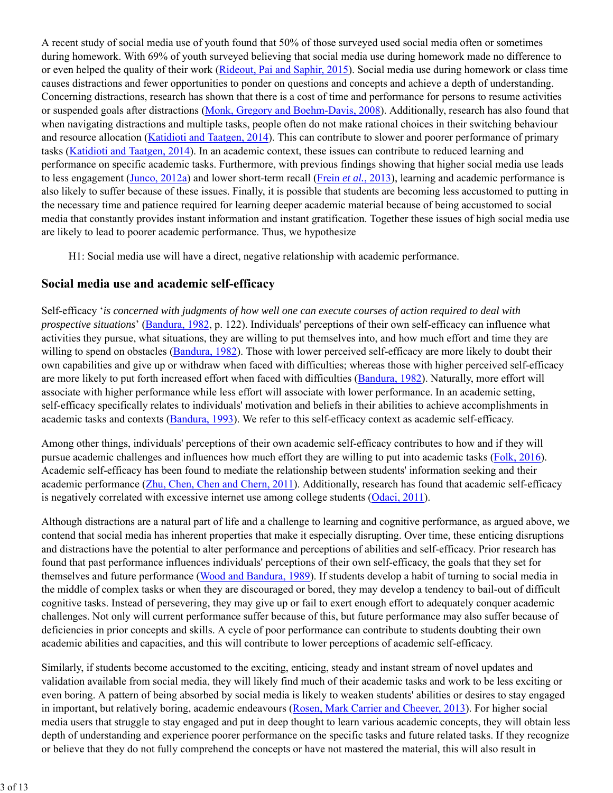A recent study of social media use of youth found that 50% of those surveyed used social media often or sometimes during homework. With 69% of youth surveyed believing that social media use during homework made no difference to or even helped the quality of their work (Rideout, Pai and Saphir, 2015). Social media use during homework or class time causes distractions and fewer opportunities to ponder on questions and concepts and achieve a depth of understanding. Concerning distractions, research has shown that there is a cost of time and performance for persons to resume activities or suspended goals after distractions (Monk, Gregory and Boehm-Davis, 2008). Additionally, research has also found that when navigating distractions and multiple tasks, people often do not make rational choices in their switching behaviour and resource allocation (Katidioti and Taatgen, 2014). This can contribute to slower and poorer performance of primary tasks (Katidioti and Taatgen, 2014). In an academic context, these issues can contribute to reduced learning and performance on specific academic tasks. Furthermore, with previous findings showing that higher social media use leads to less engagement (Junco, 2012a) and lower short-term recall (Frein *et al.*, 2013), learning and academic performance is also likely to suffer because of these issues. Finally, it is possible that students are becoming less accustomed to putting in the necessary time and patience required for learning deeper academic material because of being accustomed to social media that constantly provides instant information and instant gratification. Together these issues of high social media use are likely to lead to poorer academic performance. Thus, we hypothesize

H1: Social media use will have a direct, negative relationship with academic performance.

### **Social media use and academic self-efficacy**

Self-efficacy '*is concerned with judgments of how well one can execute courses of action required to deal with prospective situations*' (Bandura, 1982, p. 122). Individuals' perceptions of their own self-efficacy can influence what activities they pursue, what situations, they are willing to put themselves into, and how much effort and time they are willing to spend on obstacles (Bandura, 1982). Those with lower perceived self-efficacy are more likely to doubt their own capabilities and give up or withdraw when faced with difficulties; whereas those with higher perceived self-efficacy are more likely to put forth increased effort when faced with difficulties (Bandura, 1982). Naturally, more effort will associate with higher performance while less effort will associate with lower performance. In an academic setting, self-efficacy specifically relates to individuals' motivation and beliefs in their abilities to achieve accomplishments in academic tasks and contexts (Bandura, 1993). We refer to this self-efficacy context as academic self-efficacy.

Among other things, individuals' perceptions of their own academic self-efficacy contributes to how and if they will pursue academic challenges and influences how much effort they are willing to put into academic tasks (Folk, 2016). Academic self-efficacy has been found to mediate the relationship between students' information seeking and their academic performance (Zhu, Chen, Chen and Chern, 2011). Additionally, research has found that academic self-efficacy is negatively correlated with excessive internet use among college students (Odaci, 2011).

Although distractions are a natural part of life and a challenge to learning and cognitive performance, as argued above, we contend that social media has inherent properties that make it especially disrupting. Over time, these enticing disruptions and distractions have the potential to alter performance and perceptions of abilities and self-efficacy. Prior research has found that past performance influences individuals' perceptions of their own self-efficacy, the goals that they set for themselves and future performance (Wood and Bandura, 1989). If students develop a habit of turning to social media in the middle of complex tasks or when they are discouraged or bored, they may develop a tendency to bail-out of difficult cognitive tasks. Instead of persevering, they may give up or fail to exert enough effort to adequately conquer academic challenges. Not only will current performance suffer because of this, but future performance may also suffer because of deficiencies in prior concepts and skills. A cycle of poor performance can contribute to students doubting their own academic abilities and capacities, and this will contribute to lower perceptions of academic self-efficacy.

Similarly, if students become accustomed to the exciting, enticing, steady and instant stream of novel updates and validation available from social media, they will likely find much of their academic tasks and work to be less exciting or even boring. A pattern of being absorbed by social media is likely to weaken students' abilities or desires to stay engaged in important, but relatively boring, academic endeavours (Rosen, Mark Carrier and Cheever, 2013). For higher social media users that struggle to stay engaged and put in deep thought to learn various academic concepts, they will obtain less depth of understanding and experience poorer performance on the specific tasks and future related tasks. If they recognize or believe that they do not fully comprehend the concepts or have not mastered the material, this will also result in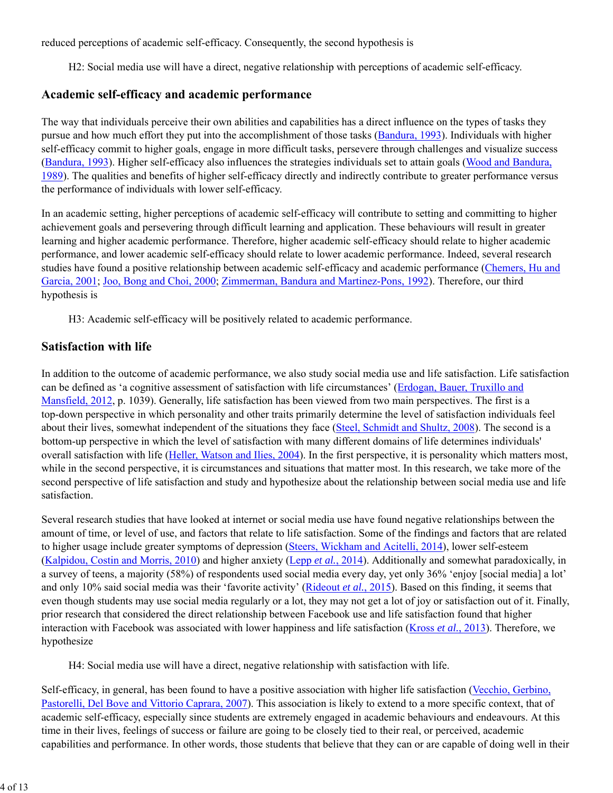reduced perceptions of academic self-efficacy. Consequently, the second hypothesis is

H2: Social media use will have a direct, negative relationship with perceptions of academic self-efficacy.

#### **Academic self-efficacy and academic performance**

The way that individuals perceive their own abilities and capabilities has a direct influence on the types of tasks they pursue and how much effort they put into the accomplishment of those tasks (Bandura, 1993). Individuals with higher self-efficacy commit to higher goals, engage in more difficult tasks, persevere through challenges and visualize success (Bandura, 1993). Higher self-efficacy also influences the strategies individuals set to attain goals (Wood and Bandura, 1989). The qualities and benefits of higher self-efficacy directly and indirectly contribute to greater performance versus the performance of individuals with lower self-efficacy.

In an academic setting, higher perceptions of academic self-efficacy will contribute to setting and committing to higher achievement goals and persevering through difficult learning and application. These behaviours will result in greater learning and higher academic performance. Therefore, higher academic self-efficacy should relate to higher academic performance, and lower academic self-efficacy should relate to lower academic performance. Indeed, several research studies have found a positive relationship between academic self-efficacy and academic performance (Chemers, Hu and Garcia, 2001; Joo, Bong and Choi, 2000; Zimmerman, Bandura and Martinez-Pons, 1992). Therefore, our third hypothesis is

H3: Academic self-efficacy will be positively related to academic performance.

#### **Satisfaction with life**

In addition to the outcome of academic performance, we also study social media use and life satisfaction. Life satisfaction can be defined as 'a cognitive assessment of satisfaction with life circumstances' (Erdogan, Bauer, Truxillo and Mansfield, 2012, p. 1039). Generally, life satisfaction has been viewed from two main perspectives. The first is a top-down perspective in which personality and other traits primarily determine the level of satisfaction individuals feel about their lives, somewhat independent of the situations they face (Steel, Schmidt and Shultz, 2008). The second is a bottom-up perspective in which the level of satisfaction with many different domains of life determines individuals' overall satisfaction with life (Heller, Watson and Ilies, 2004). In the first perspective, it is personality which matters most, while in the second perspective, it is circumstances and situations that matter most. In this research, we take more of the second perspective of life satisfaction and study and hypothesize about the relationship between social media use and life satisfaction.

Several research studies that have looked at internet or social media use have found negative relationships between the amount of time, or level of use, and factors that relate to life satisfaction. Some of the findings and factors that are related to higher usage include greater symptoms of depression (Steers, Wickham and Acitelli, 2014), lower self-esteem (Kalpidou, Costin and Morris, 2010) and higher anxiety (Lepp *et al.*, 2014). Additionally and somewhat paradoxically, in a survey of teens, a majority (58%) of respondents used social media every day, yet only 36% 'enjoy [social media] a lot' and only 10% said social media was their 'favorite activity' (Rideout *et al.*, 2015). Based on this finding, it seems that even though students may use social media regularly or a lot, they may not get a lot of joy or satisfaction out of it. Finally, prior research that considered the direct relationship between Facebook use and life satisfaction found that higher interaction with Facebook was associated with lower happiness and life satisfaction (Kross *et al.*, 2013). Therefore, we hypothesize

H4: Social media use will have a direct, negative relationship with satisfaction with life.

Self-efficacy, in general, has been found to have a positive association with higher life satisfaction (Vecchio, Gerbino, Pastorelli, Del Bove and Vittorio Caprara, 2007). This association is likely to extend to a more specific context, that of academic self-efficacy, especially since students are extremely engaged in academic behaviours and endeavours. At this time in their lives, feelings of success or failure are going to be closely tied to their real, or perceived, academic capabilities and performance. In other words, those students that believe that they can or are capable of doing well in their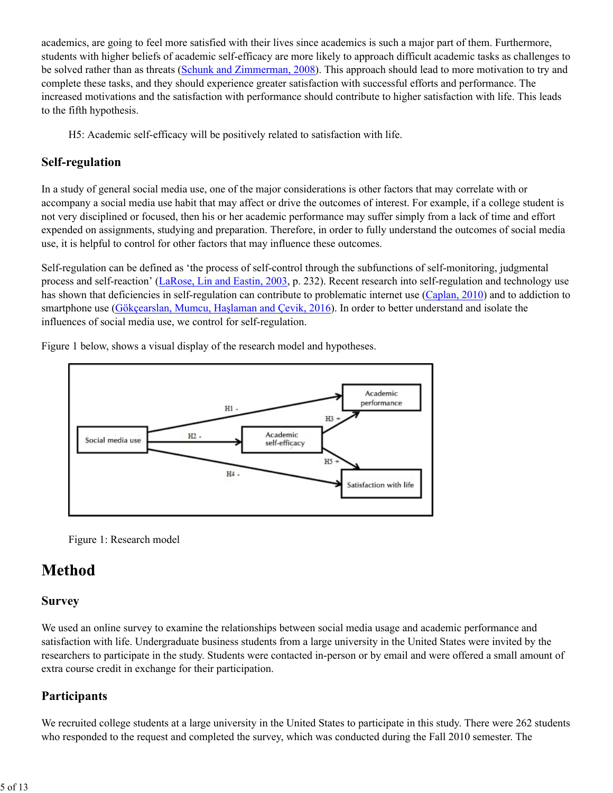academics, are going to feel more satisfied with their lives since academics is such a major part of them. Furthermore, students with higher beliefs of academic self-efficacy are more likely to approach difficult academic tasks as challenges to be solved rather than as threats (Schunk and Zimmerman, 2008). This approach should lead to more motivation to try and complete these tasks, and they should experience greater satisfaction with successful efforts and performance. The increased motivations and the satisfaction with performance should contribute to higher satisfaction with life. This leads to the fifth hypothesis.

H5: Academic self-efficacy will be positively related to satisfaction with life.

### **Self-regulation**

In a study of general social media use, one of the major considerations is other factors that may correlate with or accompany a social media use habit that may affect or drive the outcomes of interest. For example, if a college student is not very disciplined or focused, then his or her academic performance may suffer simply from a lack of time and effort expended on assignments, studying and preparation. Therefore, in order to fully understand the outcomes of social media use, it is helpful to control for other factors that may influence these outcomes.

Self-regulation can be defined as 'the process of self-control through the subfunctions of self-monitoring, judgmental process and self-reaction' (LaRose, Lin and Eastin, 2003, p. 232). Recent research into self-regulation and technology use has shown that deficiencies in self-regulation can contribute to problematic internet use (Caplan, 2010) and to addiction to smartphone use (Gökçearslan, Mumcu, Haşlaman and Çevik, 2016). In order to better understand and isolate the influences of social media use, we control for self-regulation.



Figure 1 below, shows a visual display of the research model and hypotheses.

Figure 1: Research model

# **Method**

### **Survey**

We used an online survey to examine the relationships between social media usage and academic performance and satisfaction with life. Undergraduate business students from a large university in the United States were invited by the researchers to participate in the study. Students were contacted in-person or by email and were offered a small amount of extra course credit in exchange for their participation.

### **Participants**

We recruited college students at a large university in the United States to participate in this study. There were 262 students who responded to the request and completed the survey, which was conducted during the Fall 2010 semester. The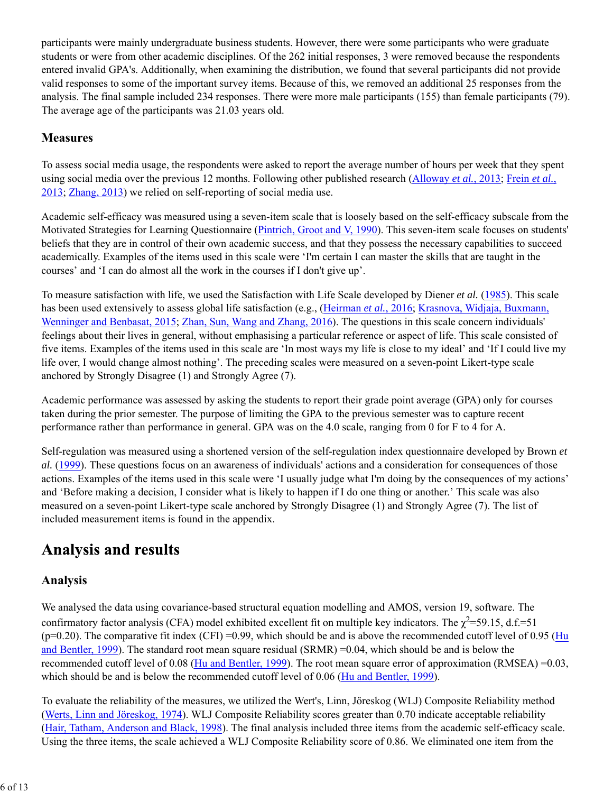participants were mainly undergraduate business students. However, there were some participants who were graduate students or were from other academic disciplines. Of the 262 initial responses, 3 were removed because the respondents entered invalid GPA's. Additionally, when examining the distribution, we found that several participants did not provide valid responses to some of the important survey items. Because of this, we removed an additional 25 responses from the analysis. The final sample included 234 responses. There were more male participants (155) than female participants (79). The average age of the participants was 21.03 years old.

#### **Measures**

To assess social media usage, the respondents were asked to report the average number of hours per week that they spent using social media over the previous 12 months. Following other published research (Alloway *et al.*, 2013; Frein *et al.*, 2013; Zhang, 2013) we relied on self-reporting of social media use.

Academic self-efficacy was measured using a seven-item scale that is loosely based on the self-efficacy subscale from the Motivated Strategies for Learning Questionnaire (Pintrich, Groot and V, 1990). This seven-item scale focuses on students' beliefs that they are in control of their own academic success, and that they possess the necessary capabilities to succeed academically. Examples of the items used in this scale were 'I'm certain I can master the skills that are taught in the courses' and 'I can do almost all the work in the courses if I don't give up'.

To measure satisfaction with life, we used the Satisfaction with Life Scale developed by Diener *et al.* (1985). This scale has been used extensively to assess global life satisfaction (e.g., (Heirman *et al.*, 2016; Krasnova, Widjaja, Buxmann, Wenninger and Benbasat, 2015; Zhan, Sun, Wang and Zhang, 2016). The questions in this scale concern individuals' feelings about their lives in general, without emphasising a particular reference or aspect of life. This scale consisted of five items. Examples of the items used in this scale are 'In most ways my life is close to my ideal' and 'If I could live my life over, I would change almost nothing'. The preceding scales were measured on a seven-point Likert-type scale anchored by Strongly Disagree (1) and Strongly Agree (7).

Academic performance was assessed by asking the students to report their grade point average (GPA) only for courses taken during the prior semester. The purpose of limiting the GPA to the previous semester was to capture recent performance rather than performance in general. GPA was on the 4.0 scale, ranging from 0 for F to 4 for A.

Self-regulation was measured using a shortened version of the self-regulation index questionnaire developed by Brown *et al.* (1999). These questions focus on an awareness of individuals' actions and a consideration for consequences of those actions. Examples of the items used in this scale were 'I usually judge what I'm doing by the consequences of my actions' and 'Before making a decision, I consider what is likely to happen if I do one thing or another.' This scale was also measured on a seven-point Likert-type scale anchored by Strongly Disagree (1) and Strongly Agree (7). The list of included measurement items is found in the appendix.

# **Analysis and results**

### **Analysis**

We analysed the data using covariance-based structural equation modelling and AMOS, version 19, software. The confirmatory factor analysis (CFA) model exhibited excellent fit on multiple key indicators. The  $\chi^2$ =59.15, d.f.=51  $(p=0.20)$ . The comparative fit index (CFI) =0.99, which should be and is above the recommended cutoff level of 0.95 (Hu and Bentler, 1999). The standard root mean square residual (SRMR) =0.04, which should be and is below the recommended cutoff level of 0.08 (Hu and Bentler, 1999). The root mean square error of approximation (RMSEA) =0.03, which should be and is below the recommended cutoff level of 0.06 (Hu and Bentler, 1999).

To evaluate the reliability of the measures, we utilized the Wert's, Linn, Jöreskog (WLJ) Composite Reliability method (Werts, Linn and Jöreskog, 1974). WLJ Composite Reliability scores greater than 0.70 indicate acceptable reliability (Hair, Tatham, Anderson and Black, 1998). The final analysis included three items from the academic self-efficacy scale. Using the three items, the scale achieved a WLJ Composite Reliability score of 0.86. We eliminated one item from the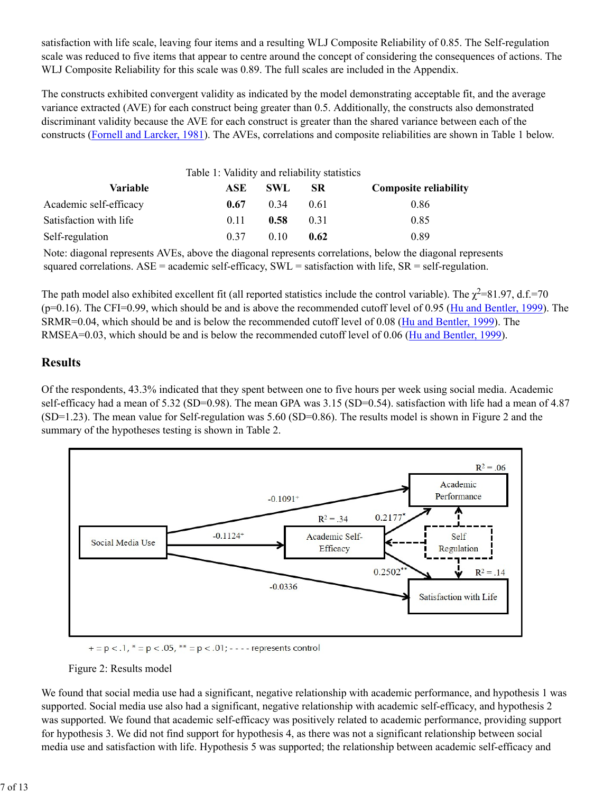satisfaction with life scale, leaving four items and a resulting WLJ Composite Reliability of 0.85. The Self-regulation scale was reduced to five items that appear to centre around the concept of considering the consequences of actions. The WLJ Composite Reliability for this scale was 0.89. The full scales are included in the Appendix.

The constructs exhibited convergent validity as indicated by the model demonstrating acceptable fit, and the average variance extracted (AVE) for each construct being greater than 0.5. Additionally, the constructs also demonstrated discriminant validity because the AVE for each construct is greater than the shared variance between each of the constructs (Fornell and Larcker, 1981). The AVEs, correlations and composite reliabilities are shown in Table 1 below.

|                        | Table 1: Validity and reliability statistics |            |           |                              |
|------------------------|----------------------------------------------|------------|-----------|------------------------------|
| <b>Variable</b>        | ASE                                          | <b>SWL</b> | <b>SR</b> | <b>Composite reliability</b> |
| Academic self-efficacy | 0.67                                         | 0.34       | 0.61      | 0.86                         |
| Satisfaction with life | 0.11                                         | 0.58       | 0.31      | 0.85                         |
| Self-regulation        | 0.37                                         | 010        | 0.62      | 0.89                         |

Note: diagonal represents AVEs, above the diagonal represents correlations, below the diagonal represents squared correlations.  $ASE =$  academic self-efficacy,  $SWL =$  satisfaction with life,  $SR =$  self-regulation.

The path model also exhibited excellent fit (all reported statistics include the control variable). The  $\chi^2$ =81.97, d.f.=70 (p=0.16). The CFI=0.99, which should be and is above the recommended cutoff level of 0.95 (Hu and Bentler, 1999). The SRMR=0.04, which should be and is below the recommended cutoff level of 0.08 (Hu and Bentler, 1999). The RMSEA=0.03, which should be and is below the recommended cutoff level of 0.06 (Hu and Bentler, 1999).

#### **Results**

Of the respondents, 43.3% indicated that they spent between one to five hours per week using social media. Academic self-efficacy had a mean of 5.32 (SD=0.98). The mean GPA was 3.15 (SD=0.54). satisfaction with life had a mean of 4.87 (SD=1.23). The mean value for Self-regulation was 5.60 (SD=0.86). The results model is shown in Figure 2 and the summary of the hypotheses testing is shown in Table 2.



 $+$  = p < .1, \* = p < .05, \*\* = p < .01; - - - - represents control



We found that social media use had a significant, negative relationship with academic performance, and hypothesis 1 was supported. Social media use also had a significant, negative relationship with academic self-efficacy, and hypothesis 2 was supported. We found that academic self-efficacy was positively related to academic performance, providing support for hypothesis 3. We did not find support for hypothesis 4, as there was not a significant relationship between social media use and satisfaction with life. Hypothesis 5 was supported; the relationship between academic self-efficacy and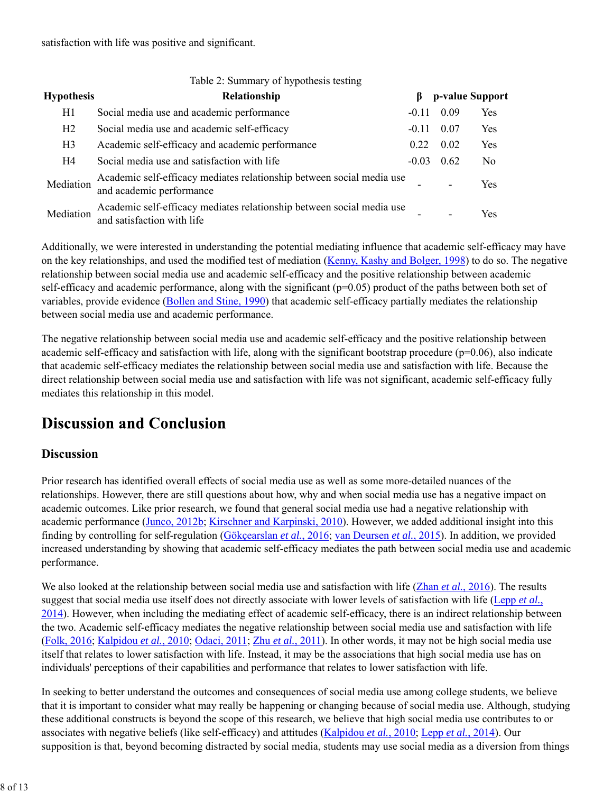| Table 2: Summary of hypothesis testing |                                                                                                     |         |      |                 |  |  |  |
|----------------------------------------|-----------------------------------------------------------------------------------------------------|---------|------|-----------------|--|--|--|
| <b>Hypothesis</b>                      | Relationship                                                                                        | В       |      | p-value Support |  |  |  |
| H1                                     | Social media use and academic performance                                                           | $-0.11$ | 0.09 | Yes             |  |  |  |
| H2                                     | Social media use and academic self-efficacy                                                         | $-0.11$ | 0.07 | Yes             |  |  |  |
| H <sub>3</sub>                         | Academic self-efficacy and academic performance                                                     | 0.22    | 0.02 | Yes             |  |  |  |
| H4                                     | Social media use and satisfaction with life                                                         | $-0.03$ | 0.62 | N <sub>0</sub>  |  |  |  |
| Mediation                              | Academic self-efficacy mediates relationship between social media use<br>and academic performance   |         |      | Yes             |  |  |  |
| Mediation                              | Academic self-efficacy mediates relationship between social media use<br>and satisfaction with life |         |      | Yes             |  |  |  |

Additionally, we were interested in understanding the potential mediating influence that academic self-efficacy may have on the key relationships, and used the modified test of mediation (Kenny, Kashy and Bolger, 1998) to do so. The negative relationship between social media use and academic self-efficacy and the positive relationship between academic self-efficacy and academic performance, along with the significant (p=0.05) product of the paths between both set of variables, provide evidence (Bollen and Stine, 1990) that academic self-efficacy partially mediates the relationship between social media use and academic performance.

The negative relationship between social media use and academic self-efficacy and the positive relationship between academic self-efficacy and satisfaction with life, along with the significant bootstrap procedure (p=0.06), also indicate that academic self-efficacy mediates the relationship between social media use and satisfaction with life. Because the direct relationship between social media use and satisfaction with life was not significant, academic self-efficacy fully mediates this relationship in this model.

# **Discussion and Conclusion**

### **Discussion**

Prior research has identified overall effects of social media use as well as some more-detailed nuances of the relationships. However, there are still questions about how, why and when social media use has a negative impact on academic outcomes. Like prior research, we found that general social media use had a negative relationship with academic performance (Junco, 2012b; Kirschner and Karpinski, 2010). However, we added additional insight into this finding by controlling for self-regulation (Gökçearslan *et al.*, 2016; van Deursen *et al.*, 2015). In addition, we provided increased understanding by showing that academic self-efficacy mediates the path between social media use and academic performance.

We also looked at the relationship between social media use and satisfaction with life (Zhan *et al.*, 2016). The results suggest that social media use itself does not directly associate with lower levels of satisfaction with life (Lepp *et al.*, 2014). However, when including the mediating effect of academic self-efficacy, there is an indirect relationship between the two. Academic self-efficacy mediates the negative relationship between social media use and satisfaction with life (Folk, 2016; Kalpidou *et al.*, 2010; Odaci, 2011; Zhu *et al.*, 2011). In other words, it may not be high social media use itself that relates to lower satisfaction with life. Instead, it may be the associations that high social media use has on individuals' perceptions of their capabilities and performance that relates to lower satisfaction with life.

In seeking to better understand the outcomes and consequences of social media use among college students, we believe that it is important to consider what may really be happening or changing because of social media use. Although, studying these additional constructs is beyond the scope of this research, we believe that high social media use contributes to or associates with negative beliefs (like self-efficacy) and attitudes (Kalpidou *et al.*, 2010; Lepp *et al.*, 2014). Our supposition is that, beyond becoming distracted by social media, students may use social media as a diversion from things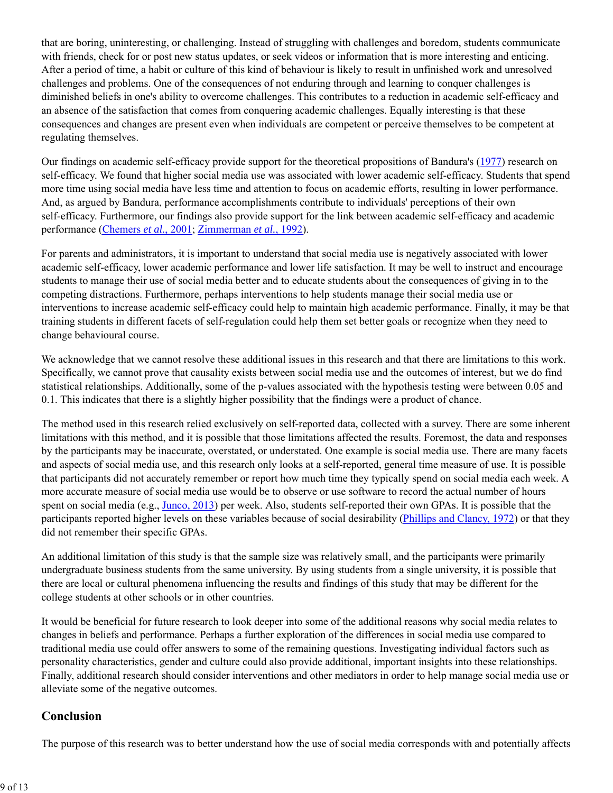that are boring, uninteresting, or challenging. Instead of struggling with challenges and boredom, students communicate with friends, check for or post new status updates, or seek videos or information that is more interesting and enticing. After a period of time, a habit or culture of this kind of behaviour is likely to result in unfinished work and unresolved challenges and problems. One of the consequences of not enduring through and learning to conquer challenges is diminished beliefs in one's ability to overcome challenges. This contributes to a reduction in academic self-efficacy and an absence of the satisfaction that comes from conquering academic challenges. Equally interesting is that these consequences and changes are present even when individuals are competent or perceive themselves to be competent at regulating themselves.

Our findings on academic self-efficacy provide support for the theoretical propositions of Bandura's (1977) research on self-efficacy. We found that higher social media use was associated with lower academic self-efficacy. Students that spend more time using social media have less time and attention to focus on academic efforts, resulting in lower performance. And, as argued by Bandura, performance accomplishments contribute to individuals' perceptions of their own self-efficacy. Furthermore, our findings also provide support for the link between academic self-efficacy and academic performance (Chemers *et al.*, 2001; Zimmerman *et al.*, 1992).

For parents and administrators, it is important to understand that social media use is negatively associated with lower academic self-efficacy, lower academic performance and lower life satisfaction. It may be well to instruct and encourage students to manage their use of social media better and to educate students about the consequences of giving in to the competing distractions. Furthermore, perhaps interventions to help students manage their social media use or interventions to increase academic self-efficacy could help to maintain high academic performance. Finally, it may be that training students in different facets of self-regulation could help them set better goals or recognize when they need to change behavioural course.

We acknowledge that we cannot resolve these additional issues in this research and that there are limitations to this work. Specifically, we cannot prove that causality exists between social media use and the outcomes of interest, but we do find statistical relationships. Additionally, some of the p-values associated with the hypothesis testing were between 0.05 and 0.1. This indicates that there is a slightly higher possibility that the findings were a product of chance.

The method used in this research relied exclusively on self-reported data, collected with a survey. There are some inherent limitations with this method, and it is possible that those limitations affected the results. Foremost, the data and responses by the participants may be inaccurate, overstated, or understated. One example is social media use. There are many facets and aspects of social media use, and this research only looks at a self-reported, general time measure of use. It is possible that participants did not accurately remember or report how much time they typically spend on social media each week. A more accurate measure of social media use would be to observe or use software to record the actual number of hours spent on social media (e.g., Junco, 2013) per week. Also, students self-reported their own GPAs. It is possible that the participants reported higher levels on these variables because of social desirability (Phillips and Clancy, 1972) or that they did not remember their specific GPAs.

An additional limitation of this study is that the sample size was relatively small, and the participants were primarily undergraduate business students from the same university. By using students from a single university, it is possible that there are local or cultural phenomena influencing the results and findings of this study that may be different for the college students at other schools or in other countries.

It would be beneficial for future research to look deeper into some of the additional reasons why social media relates to changes in beliefs and performance. Perhaps a further exploration of the differences in social media use compared to traditional media use could offer answers to some of the remaining questions. Investigating individual factors such as personality characteristics, gender and culture could also provide additional, important insights into these relationships. Finally, additional research should consider interventions and other mediators in order to help manage social media use or alleviate some of the negative outcomes.

### **Conclusion**

The purpose of this research was to better understand how the use of social media corresponds with and potentially affects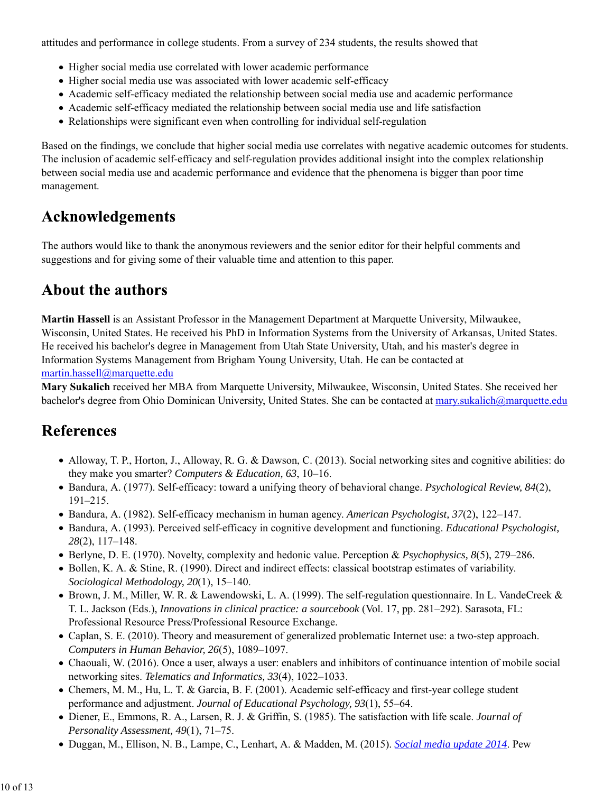attitudes and performance in college students. From a survey of 234 students, the results showed that

- Higher social media use correlated with lower academic performance
- Higher social media use was associated with lower academic self-efficacy
- Academic self-efficacy mediated the relationship between social media use and academic performance
- Academic self-efficacy mediated the relationship between social media use and life satisfaction
- Relationships were significant even when controlling for individual self-regulation

Based on the findings, we conclude that higher social media use correlates with negative academic outcomes for students. The inclusion of academic self-efficacy and self-regulation provides additional insight into the complex relationship between social media use and academic performance and evidence that the phenomena is bigger than poor time management.

# **Acknowledgements**

The authors would like to thank the anonymous reviewers and the senior editor for their helpful comments and suggestions and for giving some of their valuable time and attention to this paper.

# **About the authors**

**Martin Hassell** is an Assistant Professor in the Management Department at Marquette University, Milwaukee, Wisconsin, United States. He received his PhD in Information Systems from the University of Arkansas, United States. He received his bachelor's degree in Management from Utah State University, Utah, and his master's degree in Information Systems Management from Brigham Young University, Utah. He can be contacted at martin.hassell@marquette.edu

**Mary Sukalich** received her MBA from Marquette University, Milwaukee, Wisconsin, United States. She received her bachelor's degree from Ohio Dominican University, United States. She can be contacted at mary.sukalich@marquette.edu

### **References**

- Alloway, T. P., Horton, J., Alloway, R. G. & Dawson, C. (2013). Social networking sites and cognitive abilities: do they make you smarter? *Computers & Education, 63*, 10–16.
- Bandura, A. (1977). Self-efficacy: toward a unifying theory of behavioral change. *Psychological Review, 84*(2), 191–215.
- Bandura, A. (1982). Self-efficacy mechanism in human agency. *American Psychologist, 37*(2), 122–147.
- Bandura, A. (1993). Perceived self-efficacy in cognitive development and functioning. *Educational Psychologist, 28*(2), 117–148.
- Berlyne, D. E. (1970). Novelty, complexity and hedonic value. Perception & *Psychophysics, 8*(5), 279–286.
- Bollen, K. A. & Stine, R. (1990). Direct and indirect effects: classical bootstrap estimates of variability. *Sociological Methodology, 20*(1), 15–140.
- Brown, J. M., Miller, W. R. & Lawendowski, L. A. (1999). The self-regulation questionnaire. In L. VandeCreek & T. L. Jackson (Eds.), *Innovations in clinical practice: a sourcebook* (Vol. 17, pp. 281–292). Sarasota, FL: Professional Resource Press/Professional Resource Exchange.
- Caplan, S. E. (2010). Theory and measurement of generalized problematic Internet use: a two-step approach. *Computers in Human Behavior, 26*(5), 1089–1097.
- Chaouali, W. (2016). Once a user, always a user: enablers and inhibitors of continuance intention of mobile social networking sites. *Telematics and Informatics, 33*(4), 1022–1033.
- Chemers, M. M., Hu, L. T. & Garcia, B. F. (2001). Academic self-efficacy and first-year college student performance and adjustment. *Journal of Educational Psychology, 93*(1), 55–64.
- Diener, E., Emmons, R. A., Larsen, R. J. & Griffin, S. (1985). The satisfaction with life scale. *Journal of Personality Assessment, 49*(1), 71–75.
- Duggan, M., Ellison, N. B., Lampe, C., Lenhart, A. & Madden, M. (2015). *Social media update 2014*. Pew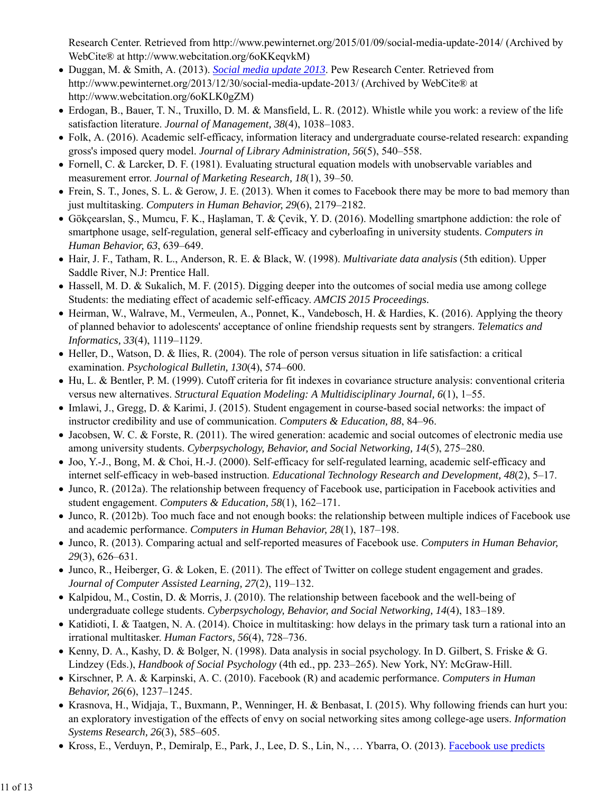Research Center. Retrieved from http://www.pewinternet.org/2015/01/09/social-media-update-2014/ (Archived by WebCite® at http://www.webcitation.org/6oKKeqvkM)

- Duggan, M. & Smith, A. (2013). *Social media update 2013*. Pew Research Center. Retrieved from http://www.pewinternet.org/2013/12/30/social-media-update-2013/ (Archived by WebCite® at http://www.webcitation.org/6oKLK0gZM)
- Erdogan, B., Bauer, T. N., Truxillo, D. M. & Mansfield, L. R. (2012). Whistle while you work: a review of the life satisfaction literature. *Journal of Management, 38*(4), 1038–1083.
- Folk, A. (2016). Academic self-efficacy, information literacy and undergraduate course-related research: expanding gross's imposed query model. *Journal of Library Administration, 56*(5), 540–558.
- Fornell, C. & Larcker, D. F. (1981). Evaluating structural equation models with unobservable variables and measurement error. *Journal of Marketing Research, 18*(1), 39–50.
- Frein, S. T., Jones, S. L. & Gerow, J. E. (2013). When it comes to Facebook there may be more to bad memory than just multitasking. *Computers in Human Behavior, 29*(6), 2179–2182.
- Gökçearslan, Ş., Mumcu, F. K., Haşlaman, T. & Çevik, Y. D. (2016). Modelling smartphone addiction: the role of smartphone usage, self-regulation, general self-efficacy and cyberloafing in university students. *Computers in Human Behavior, 63*, 639–649.
- Hair, J. F., Tatham, R. L., Anderson, R. E. & Black, W. (1998). *Multivariate data analysis* (5th edition). Upper Saddle River, N.J: Prentice Hall.
- Hassell, M. D. & Sukalich, M. F. (2015). Digging deeper into the outcomes of social media use among college Students: the mediating effect of academic self-efficacy. *AMCIS 2015 Proceedings.*
- Heirman, W., Walrave, M., Vermeulen, A., Ponnet, K., Vandebosch, H. & Hardies, K. (2016). Applying the theory of planned behavior to adolescents' acceptance of online friendship requests sent by strangers. *Telematics and Informatics, 33*(4), 1119–1129.
- Heller, D., Watson, D. & Ilies, R. (2004). The role of person versus situation in life satisfaction: a critical examination. *Psychological Bulletin, 130*(4), 574–600.
- Hu, L. & Bentler, P. M. (1999). Cutoff criteria for fit indexes in covariance structure analysis: conventional criteria versus new alternatives. *Structural Equation Modeling: A Multidisciplinary Journal, 6*(1), 1–55.
- Imlawi, J., Gregg, D. & Karimi, J. (2015). Student engagement in course-based social networks: the impact of instructor credibility and use of communication. *Computers & Education, 88*, 84–96.
- Jacobsen, W. C. & Forste, R. (2011). The wired generation: academic and social outcomes of electronic media use among university students. *Cyberpsychology, Behavior, and Social Networking, 14*(5), 275–280.
- Joo, Y.-J., Bong, M. & Choi, H.-J. (2000). Self-efficacy for self-regulated learning, academic self-efficacy and internet self-efficacy in web-based instruction. *Educational Technology Research and Development, 48*(2), 5–17.
- Junco, R. (2012a). The relationship between frequency of Facebook use, participation in Facebook activities and student engagement. *Computers & Education, 58*(1), 162–171.
- Junco, R. (2012b). Too much face and not enough books: the relationship between multiple indices of Facebook use and academic performance. *Computers in Human Behavior, 28*(1), 187–198.
- Junco, R. (2013). Comparing actual and self-reported measures of Facebook use. *Computers in Human Behavior, 29*(3), 626–631.
- $\bullet$  Junco, R., Heiberger, G. & Loken, E. (2011). The effect of Twitter on college student engagement and grades. *Journal of Computer Assisted Learning, 27*(2), 119–132.
- Kalpidou, M., Costin, D. & Morris, J. (2010). The relationship between facebook and the well-being of undergraduate college students. *Cyberpsychology, Behavior, and Social Networking, 14*(4), 183–189.
- Katidioti, I. & Taatgen, N. A. (2014). Choice in multitasking: how delays in the primary task turn a rational into an irrational multitasker. *Human Factors, 56*(4), 728–736.
- Kenny, D. A., Kashy, D. & Bolger, N. (1998). Data analysis in social psychology. In D. Gilbert, S. Friske & G. Lindzey (Eds.), *Handbook of Social Psychology* (4th ed., pp. 233–265). New York, NY: McGraw-Hill.
- Kirschner, P. A. & Karpinski, A. C. (2010). Facebook (R) and academic performance. *Computers in Human Behavior, 26*(6), 1237–1245.
- Krasnova, H., Widjaja, T., Buxmann, P., Wenninger, H. & Benbasat, I. (2015). Why following friends can hurt you: an exploratory investigation of the effects of envy on social networking sites among college-age users. *Information Systems Research, 26*(3), 585–605.
- Kross, E., Verduyn, P., Demiralp, E., Park, J., Lee, D. S., Lin, N., ... Ybarra, O. (2013). Facebook use predicts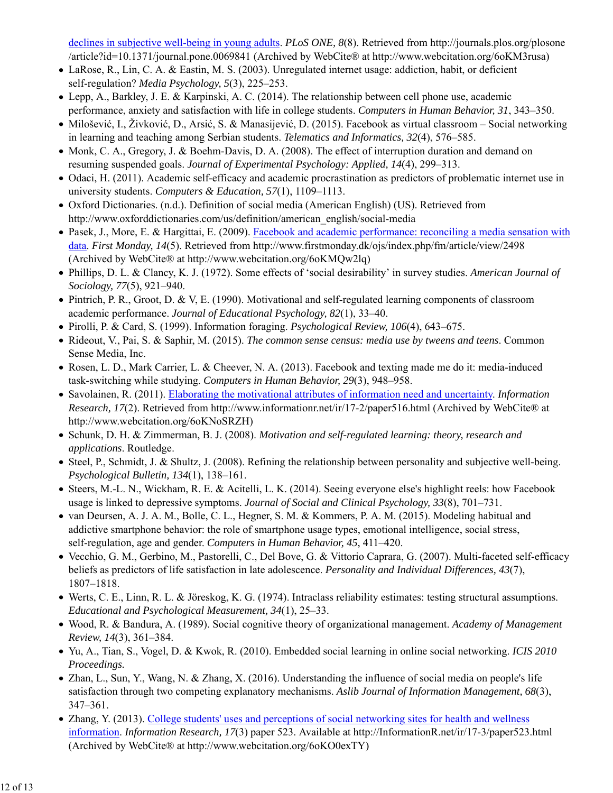declines in subjective well-being in young adults. *PLoS ONE, 8*(8). Retrieved from http://journals.plos.org/plosone /article?id=10.1371/journal.pone.0069841 (Archived by WebCite® at http://www.webcitation.org/6oKM3rusa)

- LaRose, R., Lin, C. A. & Eastin, M. S. (2003). Unregulated internet usage: addiction, habit, or deficient self-regulation? *Media Psychology, 5*(3), 225–253.
- Lepp, A., Barkley, J. E. & Karpinski, A. C. (2014). The relationship between cell phone use, academic performance, anxiety and satisfaction with life in college students. *Computers in Human Behavior, 31*, 343–350.
- Milošević, I., Živković, D., Arsić, S. & Manasijević, D. (2015). Facebook as virtual classroom Social networking in learning and teaching among Serbian students. *Telematics and Informatics, 32*(4), 576–585.
- Monk, C. A., Gregory, J. & Boehm-Davis, D. A. (2008). The effect of interruption duration and demand on resuming suspended goals. *Journal of Experimental Psychology: Applied, 14*(4), 299–313.
- Odaci, H. (2011). Academic self-efficacy and academic procrastination as predictors of problematic internet use in university students. *Computers & Education, 57*(1), 1109–1113.
- Oxford Dictionaries. (n.d.). Definition of social media (American English) (US). Retrieved from http://www.oxforddictionaries.com/us/definition/american\_english/social-media
- Pasek, J., More, E. & Hargittai, E. (2009). Facebook and academic performance: reconciling a media sensation with data. *First Monday, 14*(5). Retrieved from http://www.firstmonday.dk/ojs/index.php/fm/article/view/2498 (Archived by WebCite® at http://www.webcitation.org/6oKMQw2lq)
- Phillips, D. L. & Clancy, K. J. (1972). Some effects of 'social desirability' in survey studies. *American Journal of Sociology, 77*(5), 921–940.
- Pintrich, P. R., Groot, D. & V, E. (1990). Motivational and self-regulated learning components of classroom academic performance. *Journal of Educational Psychology, 82*(1), 33–40.
- Pirolli, P. & Card, S. (1999). Information foraging. *Psychological Review, 106*(4), 643–675.
- Rideout, V., Pai, S. & Saphir, M. (2015). *The common sense census: media use by tweens and teens*. Common Sense Media, Inc.
- Rosen, L. D., Mark Carrier, L. & Cheever, N. A. (2013). Facebook and texting made me do it: media-induced task-switching while studying. *Computers in Human Behavior, 29*(3), 948–958.
- Savolainen, R. (2011). Elaborating the motivational attributes of information need and uncertainty. *Information Research, 17*(2). Retrieved from http://www.informationr.net/ir/17-2/paper516.html (Archived by WebCite® at http://www.webcitation.org/6oKNoSRZH)
- Schunk, D. H. & Zimmerman, B. J. (2008). *Motivation and self-regulated learning: theory, research and applications*. Routledge.
- Steel, P., Schmidt, J. & Shultz, J. (2008). Refining the relationship between personality and subjective well-being. *Psychological Bulletin, 134*(1), 138–161.
- Steers, M.-L. N., Wickham, R. E. & Acitelli, L. K. (2014). Seeing everyone else's highlight reels: how Facebook usage is linked to depressive symptoms. *Journal of Social and Clinical Psychology, 33*(8), 701–731.
- van Deursen, A. J. A. M., Bolle, C. L., Hegner, S. M. & Kommers, P. A. M. (2015). Modeling habitual and addictive smartphone behavior: the role of smartphone usage types, emotional intelligence, social stress, self-regulation, age and gender. *Computers in Human Behavior, 45*, 411–420.
- Vecchio, G. M., Gerbino, M., Pastorelli, C., Del Bove, G. & Vittorio Caprara, G. (2007). Multi-faceted self-efficacy beliefs as predictors of life satisfaction in late adolescence. *Personality and Individual Differences, 43*(7), 1807–1818.
- Werts, C. E., Linn, R. L. & Jöreskog, K. G. (1974). Intraclass reliability estimates: testing structural assumptions. *Educational and Psychological Measurement, 34*(1), 25–33.
- Wood, R. & Bandura, A. (1989). Social cognitive theory of organizational management. *Academy of Management Review, 14*(3), 361–384.
- Yu, A., Tian, S., Vogel, D. & Kwok, R. (2010). Embedded social learning in online social networking. *ICIS 2010 Proceedings.*
- Zhan, L., Sun, Y., Wang, N. & Zhang, X. (2016). Understanding the influence of social media on people's life satisfaction through two competing explanatory mechanisms. *Aslib Journal of Information Management, 68*(3), 347–361.
- Zhang, Y. (2013). College students' uses and perceptions of social networking sites for health and wellness information. *Information Research, 17*(3) paper 523. Available at http://InformationR.net/ir/17-3/paper523.html (Archived by WebCite® at http://www.webcitation.org/6oKO0exTY)